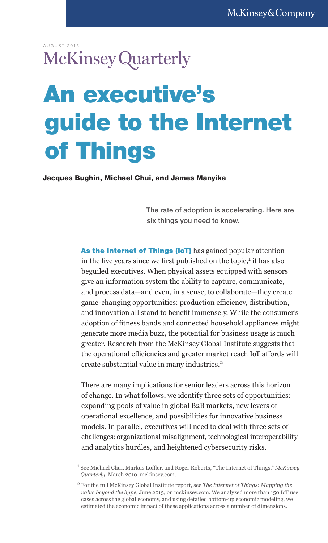# AUGUST 2015 McKinsey Quarterly

# An executive's guide to the Internet of Things

Jacques Bughin, Michael Chui, and James Manyika

The rate of adoption is accelerating. Here are six things you need to know.

As the Internet of Things (IoT) has gained popular attention in the five years since we first published on the topic,<sup>1</sup> it has also beguiled executives. When physical assets equipped with sensors give an information system the ability to capture, communicate, and process data—and even, in a sense, to collaborate—they create game-changing opportunities: production efficiency, distribution, and innovation all stand to benefit immensely. While the consumer's adoption of fitness bands and connected household appliances might generate more media buzz, the potential for business usage is much greater. Research from the McKinsey Global Institute suggests that the operational efficiencies and greater market reach IoT affords will create substantial value in many industries.<sup>2</sup>

There are many implications for senior leaders across this horizon of change. In what follows, we identify three sets of opportunities: expanding pools of value in global B2B markets, new levers of operational excellence, and possibilities for innovative business models. In parallel, executives will need to deal with three sets of challenges: organizational misalignment, technological interoperability and analytics hurdles, and heightened cybersecurity risks.

<sup>1</sup> See Michael Chui, Markus Löffler, and Roger Roberts, "The Internet of Things," McKinsey *Quarterly*, March 2010, mckinsey.com.

<sup>2</sup>For the full McKinsey Global Institute report, see *The Internet of Things: Mapping the value beyond the hype*, June 2015, on mckinsey.com. We analyzed more than 150 IoT use cases across the global economy, and using detailed bottom-up economic modeling, we estimated the economic impact of these applications across a number of dimensions.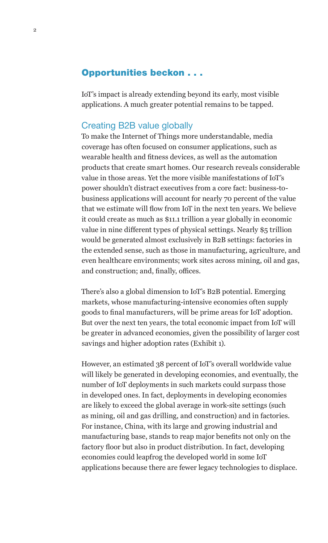# Opportunities beckon . . .

IoT's impact is already extending beyond its early, most visible applications. A much greater potential remains to be tapped.

# Creating B2B value globally

To make the Internet of Things more understandable, media coverage has often focused on consumer applications, such as wearable health and fitness devices, as well as the automation products that create smart homes. Our research reveals considerable value in those areas. Yet the more visible manifestations of IoT's power shouldn't distract executives from a core fact: business-tobusiness applications will account for nearly 70 percent of the value that we estimate will flow from IoT in the next ten years. We believe it could create as much as \$11.1 trillion a year globally in economic value in nine different types of physical settings. Nearly \$5 trillion would be generated almost exclusively in B2B settings: factories in the extended sense, such as those in manufacturing, agriculture, and even healthcare environments; work sites across mining, oil and gas, and construction; and, finally, offices.

There's also a global dimension to IoT's B2B potential. Emerging markets, whose manufacturing-intensive economies often supply goods to final manufacturers, will be prime areas for IoT adoption. But over the next ten years, the total economic impact from IoT will be greater in advanced economies, given the possibility of larger cost savings and higher adoption rates (Exhibit 1).

However, an estimated 38 percent of IoT's overall worldwide value will likely be generated in developing economies, and eventually, the number of IoT deployments in such markets could surpass those in developed ones. In fact, deployments in developing economies are likely to exceed the global average in work-site settings (such as mining, oil and gas drilling, and construction) and in factories. For instance, China, with its large and growing industrial and manufacturing base, stands to reap major benefits not only on the factory floor but also in product distribution. In fact, developing economies could leapfrog the developed world in some IoT applications because there are fewer legacy technologies to displace.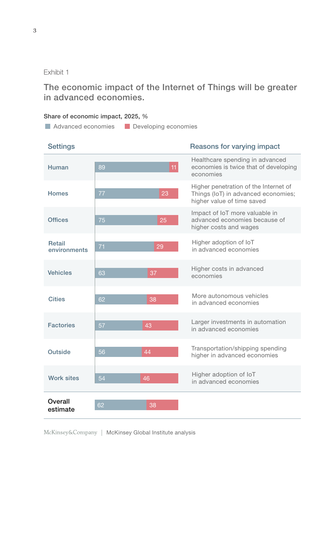# Exhibit 1

Share of economic impact, 2025, %

The economic impact of the Internet of Things will be greater in advanced economies.

#### **Advanced economies** Developing economies Settings **Reasons for varying impact Homes** 77 23 Higher penetration of the Internet of Things (IoT) in advanced economies; higher value of time saved Retail environments Higher adoption of IoT **1992 - Trighter adoption of ion**<br>in advanced economies Human Healthcare spending in advanced economies is twice that of developing economies 89 11 **Offices** Impact of IoT more valuable in advanced economies because of higher costs and wages 75 25 Vehicles 63 37 Higher costs in advanced economies

| <b>Cities</b>       | 62 | 38 | More autonomous vehicles<br>in advanced economies                |
|---------------------|----|----|------------------------------------------------------------------|
| <b>Factories</b>    | 57 | 43 | Larger investments in automation<br>in advanced economies        |
| Outside             | 56 | 44 | Transportation/shipping spending<br>higher in advanced economies |
| <b>Work sites</b>   | 54 | 46 | Higher adoption of IoT<br>in advanced economies                  |
| Overall<br>estimate | 62 | 38 |                                                                  |

McKinsey&Company | McKinsey Global Institute analysis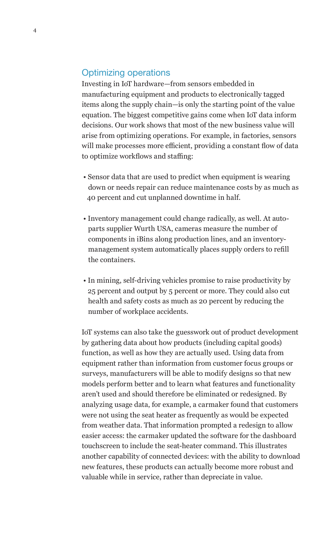# Optimizing operations

Investing in IoT hardware—from sensors embedded in manufacturing equipment and products to electronically tagged items along the supply chain—is only the starting point of the value equation. The biggest competitive gains come when IoT data inform decisions. Our work shows that most of the new business value will arise from optimizing operations. For example, in factories, sensors will make processes more efficient, providing a constant flow of data to optimize workflows and staffing:

- Sensor data that are used to predict when equipment is wearing down or needs repair can reduce maintenance costs by as much as 40 percent and cut unplanned downtime in half.
- Inventory management could change radically, as well. At autoparts supplier Wurth USA, cameras measure the number of components in iBins along production lines, and an inventorymanagement system automatically places supply orders to refill the containers.
- In mining, self-driving vehicles promise to raise productivity by 25 percent and output by 5 percent or more. They could also cut health and safety costs as much as 20 percent by reducing the number of workplace accidents.

IoT systems can also take the guesswork out of product development by gathering data about how products (including capital goods) function, as well as how they are actually used. Using data from equipment rather than information from customer focus groups or surveys, manufacturers will be able to modify designs so that new models perform better and to learn what features and functionality aren't used and should therefore be eliminated or redesigned. By analyzing usage data, for example, a carmaker found that customers were not using the seat heater as frequently as would be expected from weather data. That information prompted a redesign to allow easier access: the carmaker updated the software for the dashboard touchscreen to include the seat-heater command. This illustrates another capability of connected devices: with the ability to download new features, these products can actually become more robust and valuable while in service, rather than depreciate in value.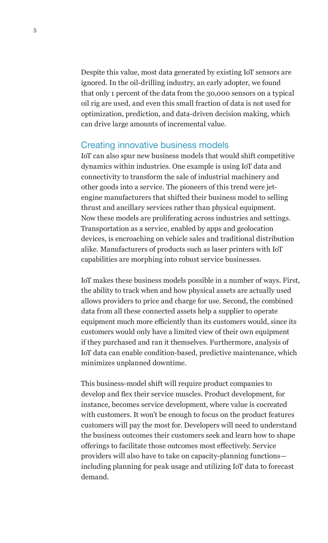Despite this value, most data generated by existing IoT sensors are ignored. In the oil-drilling industry, an early adopter, we found that only 1 percent of the data from the 30,000 sensors on a typical oil rig are used, and even this small fraction of data is not used for optimization, prediction, and data-driven decision making, which can drive large amounts of incremental value.

#### Creating innovative business models

IoT can also spur new business models that would shift competitive dynamics within industries. One example is using IoT data and connectivity to transform the sale of industrial machinery and other goods into a service. The pioneers of this trend were jetengine manufacturers that shifted their business model to selling thrust and ancillary services rather than physical equipment. Now these models are proliferating across industries and settings. Transportation as a service, enabled by apps and geolocation devices, is encroaching on vehicle sales and traditional distribution alike. Manufacturers of products such as laser printers with IoT capabilities are morphing into robust service businesses.

IoT makes these business models possible in a number of ways. First, the ability to track when and how physical assets are actually used allows providers to price and charge for use. Second, the combined data from all these connected assets help a supplier to operate equipment much more efficiently than its customers would, since its customers would only have a limited view of their own equipment if they purchased and ran it themselves. Furthermore, analysis of IoT data can enable condition-based, predictive maintenance, which minimizes unplanned downtime.

This business-model shift will require product companies to develop and flex their service muscles. Product development, for instance, becomes service development, where value is cocreated with customers. It won't be enough to focus on the product features customers will pay the most for. Developers will need to understand the business outcomes their customers seek and learn how to shape offerings to facilitate those outcomes most effectively. Service providers will also have to take on capacity-planning functions including planning for peak usage and utilizing IoT data to forecast demand.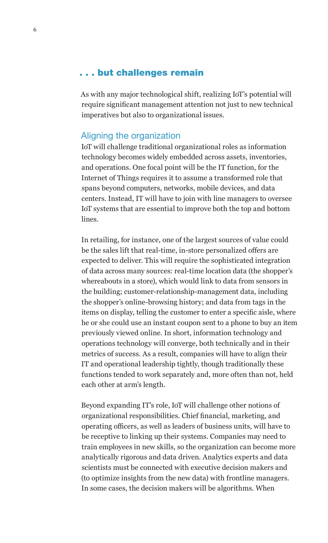# . . . but challenges remain

As with any major technological shift, realizing IoT's potential will require significant management attention not just to new technical imperatives but also to organizational issues.

# Aligning the organization

IoT will challenge traditional organizational roles as information technology becomes widely embedded across assets, inventories, and operations. One focal point will be the IT function, for the Internet of Things requires it to assume a transformed role that spans beyond computers, networks, mobile devices, and data centers. Instead, IT will have to join with line managers to oversee IoT systems that are essential to improve both the top and bottom lines.

In retailing, for instance, one of the largest sources of value could be the sales lift that real-time, in-store personalized offers are expected to deliver. This will require the sophisticated integration of data across many sources: real-time location data (the shopper's whereabouts in a store), which would link to data from sensors in the building; customer-relationship-management data, including the shopper's online-browsing history; and data from tags in the items on display, telling the customer to enter a specific aisle, where he or she could use an instant coupon sent to a phone to buy an item previously viewed online. In short, information technology and operations technology will converge, both technically and in their metrics of success. As a result, companies will have to align their IT and operational leadership tightly, though traditionally these functions tended to work separately and, more often than not, held each other at arm's length.

Beyond expanding IT's role, IoT will challenge other notions of organizational responsibilities. Chief financial, marketing, and operating officers, as well as leaders of business units, will have to be receptive to linking up their systems. Companies may need to train employees in new skills, so the organization can become more analytically rigorous and data driven. Analytics experts and data scientists must be connected with executive decision makers and (to optimize insights from the new data) with frontline managers. In some cases, the decision makers will be algorithms. When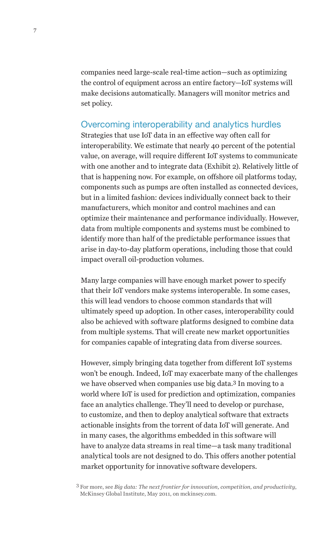companies need large-scale real-time action—such as optimizing the control of equipment across an entire factory—IoT systems will make decisions automatically. Managers will monitor metrics and set policy.

# Overcoming interoperability and analytics hurdles

Strategies that use IoT data in an effective way often call for interoperability. We estimate that nearly 40 percent of the potential value, on average, will require different IoT systems to communicate with one another and to integrate data (Exhibit 2). Relatively little of that is happening now. For example, on offshore oil platforms today, components such as pumps are often installed as connected devices, but in a limited fashion: devices individually connect back to their manufacturers, which monitor and control machines and can optimize their maintenance and performance individually. However, data from multiple components and systems must be combined to identify more than half of the predictable performance issues that arise in day-to-day platform operations, including those that could impact overall oil-production volumes.

Many large companies will have enough market power to specify that their IoT vendors make systems interoperable. In some cases, this will lead vendors to choose common standards that will ultimately speed up adoption. In other cases, interoperability could also be achieved with software platforms designed to combine data from multiple systems. That will create new market opportunities for companies capable of integrating data from diverse sources.

However, simply bringing data together from different IoT systems won't be enough. Indeed, IoT may exacerbate many of the challenges we have observed when companies use big data.3 In moving to a world where IoT is used for prediction and optimization, companies face an analytics challenge. They'll need to develop or purchase, to customize, and then to deploy analytical software that extracts actionable insights from the torrent of data IoT will generate. And in many cases, the algorithms embedded in this software will have to analyze data streams in real time—a task many traditional analytical tools are not designed to do. This offers another potential market opportunity for innovative software developers.

3 For more, see *Big data: The next frontier for innovation, competition, and productivity*, McKinsey Global Institute, May 2011, on mckinsey.com.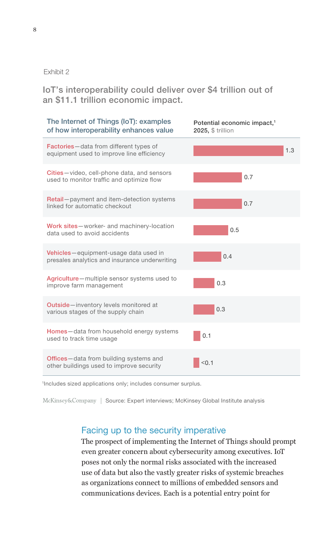#### Exhibit 2

IoT's interoperability could deliver over \$4 trillion out of an \$11.1 trillion economic impact.



<sup>1</sup>Includes sized applications only; includes consumer surplus.

McKinsey&Company | Source: Expert interviews; McKinsey Global Institute analysis

# Facing up to the security imperative

The prospect of implementing the Internet of Things should prompt even greater concern about cybersecurity among executives. IoT poses not only the normal risks associated with the increased use of data but also the vastly greater risks of systemic breaches as organizations connect to millions of embedded sensors and communications devices. Each is a potential entry point for